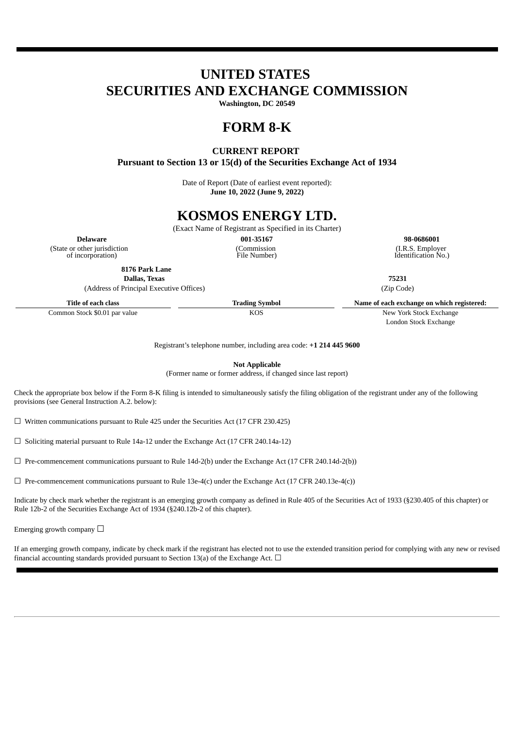# **UNITED STATES SECURITIES AND EXCHANGE COMMISSION**

**Washington, DC 20549**

## **FORM 8-K**

### **CURRENT REPORT**

**Pursuant to Section 13 or 15(d) of the Securities Exchange Act of 1934**

Date of Report (Date of earliest event reported): **June 10, 2022 (June 9, 2022)**

## **KOSMOS ENERGY LTD.**

(Exact Name of Registrant as Specified in its Charter)

(Commission File Number)

**Delaware 001-35167 98-0686001**

(State or other jurisdiction of incorporation)

**8176 Park Lane**

**Dallas, Texas 75231**

(Address of Principal Executive Offices) (Zip Code)

London Stock Exchange

(I.R.S. Employer Identification No.)

Registrant's telephone number, including area code: **+1 214 445 9600**

**Not Applicable**

(Former name or former address, if changed since last report)

Check the appropriate box below if the Form 8-K filing is intended to simultaneously satisfy the filing obligation of the registrant under any of the following provisions (see General Instruction A.2. below):

 $\Box$  Written communications pursuant to Rule 425 under the Securities Act (17 CFR 230.425)

☐ Soliciting material pursuant to Rule 14a-12 under the Exchange Act (17 CFR 240.14a-12)

 $\Box$  Pre-commencement communications pursuant to Rule 14d-2(b) under the Exchange Act (17 CFR 240.14d-2(b))

 $\Box$  Pre-commencement communications pursuant to Rule 13e-4(c) under the Exchange Act (17 CFR 240.13e-4(c))

Indicate by check mark whether the registrant is an emerging growth company as defined in Rule 405 of the Securities Act of 1933 (§230.405 of this chapter) or Rule 12b-2 of the Securities Exchange Act of 1934 (§240.12b-2 of this chapter).

Emerging growth company  $\Box$ 

If an emerging growth company, indicate by check mark if the registrant has elected not to use the extended transition period for complying with any new or revised financial accounting standards provided pursuant to Section 13(a) of the Exchange Act.  $\Box$ 

**Title of each class Trading Symbol Name of each exchange on which registered:** Common Stock \$0.01 par value  $\overline{KOS}$  KOS New York Stock Exchange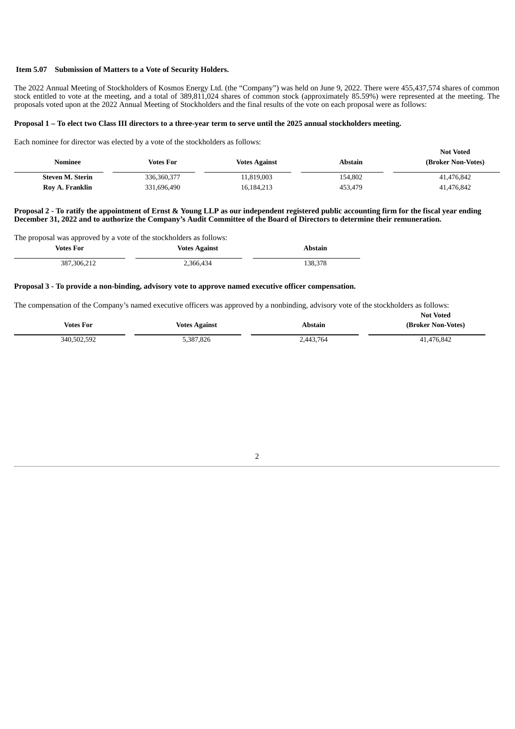#### **Item 5.07 Submission of Matters to a Vote of Security Holders.**

The 2022 Annual Meeting of Stockholders of Kosmos Energy Ltd. (the "Company") was held on June 9, 2022. There were 455,437,574 shares of common stock entitled to vote at the meeting, and a total of 389,811,024 shares of common stock (approximately 85.59%) were represented at the meeting. The proposals voted upon at the 2022 Annual Meeting of Stockholders and the final results of the vote on each proposal were as follows:

#### Proposal 1 - To elect two Class III directors to a three-year term to serve until the 2025 annual stockholders meeting.

Each nominee for director was elected by a vote of the stockholders as follows:

| Nominee                 | <b>Votes For</b> | <b>Votes Against</b> | Abstain | <b>Not Voted</b><br>(Broker Non-Votes) |
|-------------------------|------------------|----------------------|---------|----------------------------------------|
| <b>Steven M. Sterin</b> | 336, 360, 377    | 11,819,003           | 154,802 | 41,476,842                             |
| Roy A. Franklin         | 331,696,490      | 16,184,213           | 453,479 | 41,476,842                             |

#### Proposal 2 - To ratify the appointment of Ernst & Young LLP as our independent registered public accounting firm for the fiscal year ending December 31, 2022 and to authorize the Company's Audit Committee of the Board of Directors to determine their remuneration.

The proposal was approved by a vote of the stockholders as follows:

| Votes For     | <b>Votes Against</b> | <b>Abstain</b> |
|---------------|----------------------|----------------|
| 387, 306, 212 | 2,366,434            | 138,378        |

#### **Proposal 3 - To provide a non-binding, advisory vote to approve named executive officer compensation.**

The compensation of the Company's named executive officers was approved by a nonbinding, advisory vote of the stockholders as follows:

|                  |                      |           | <b>Not Voted</b>   |
|------------------|----------------------|-----------|--------------------|
| <b>Votes For</b> | <b>Votes Against</b> | Abstain   | (Broker Non-Votes) |
| 340,502,592      | 5,387,826            | 2,443,764 | 41,476,842         |